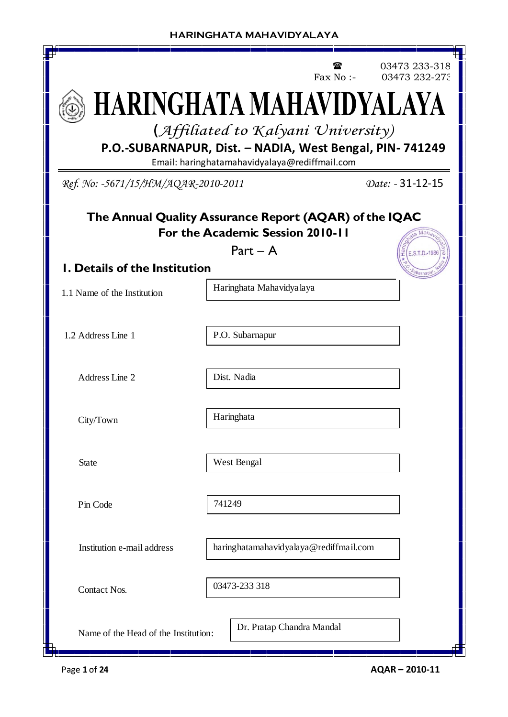|                                                                                                |        |                                               | Fax No :- | 03473 233-318<br>03473 232-273 |  |  |  |  |
|------------------------------------------------------------------------------------------------|--------|-----------------------------------------------|-----------|--------------------------------|--|--|--|--|
| HARINGHATA MAHAVIDYALAYA                                                                       |        |                                               |           |                                |  |  |  |  |
| (Affiliated to Kalyani University)<br>P.O.-SUBARNAPUR, Dist. - NADIA, West Bengal, PIN- 741249 |        |                                               |           |                                |  |  |  |  |
| Ref. No: -5671/15/HM/AQAR-2010-2011                                                            |        | Email: haringhatamahavidyalaya@rediffmail.com |           | Date: - 31-12-15               |  |  |  |  |
|                                                                                                |        |                                               |           |                                |  |  |  |  |
| The Annual Quality Assurance Report (AQAR) of the IQAC                                         |        | For the Academic Session 2010-11              |           |                                |  |  |  |  |
| <b>I. Details of the Institution</b>                                                           |        | $Part - A$                                    |           | E.S.T.D.-1986                  |  |  |  |  |
| 1.1 Name of the Institution                                                                    |        | Haringhata Mahavidya laya                     |           | barnap                         |  |  |  |  |
| 1.2 Address Line 1                                                                             |        | P.O. Subarnapur                               |           |                                |  |  |  |  |
| Address Line 2                                                                                 |        | Dist. Nadia                                   |           |                                |  |  |  |  |
| City/Town                                                                                      |        | Haringhata                                    |           |                                |  |  |  |  |
| <b>State</b>                                                                                   |        | West Bengal                                   |           |                                |  |  |  |  |
| Pin Code                                                                                       | 741249 |                                               |           |                                |  |  |  |  |
| Institution e-mail address                                                                     |        | haringhatamahavidyalaya@rediffmail.com        |           |                                |  |  |  |  |
| <b>Contact Nos.</b>                                                                            |        | 03473-233 318                                 |           |                                |  |  |  |  |
| Name of the Head of the Institution:<br>Ь                                                      |        | Dr. Pratap Chandra Mandal                     |           |                                |  |  |  |  |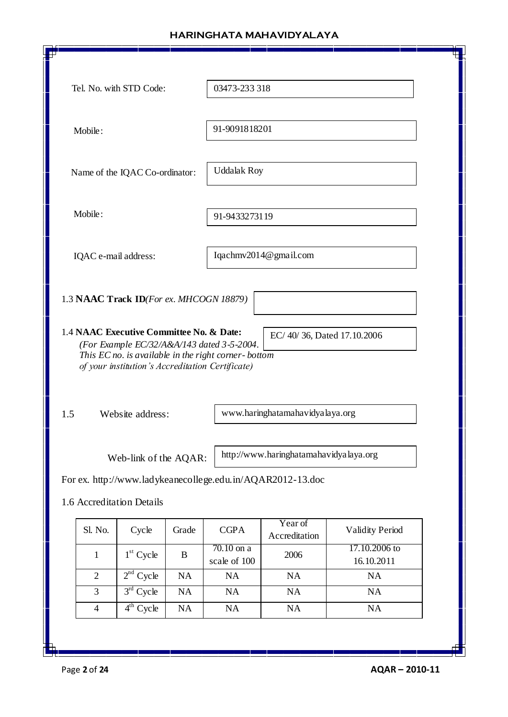|                                                 | Tel. No. with STD Code:                                                              |       | 03473-233 318                                                                                                                                         |                                                                                                         |                             |
|-------------------------------------------------|--------------------------------------------------------------------------------------|-------|-------------------------------------------------------------------------------------------------------------------------------------------------------|---------------------------------------------------------------------------------------------------------|-----------------------------|
|                                                 |                                                                                      |       |                                                                                                                                                       |                                                                                                         |                             |
| Mobile:                                         |                                                                                      |       | 91-9091818201                                                                                                                                         |                                                                                                         |                             |
|                                                 | Name of the IQAC Co-ordinator:                                                       |       | <b>Uddalak Roy</b>                                                                                                                                    |                                                                                                         |                             |
| Mobile:                                         |                                                                                      |       | 91-9433273119                                                                                                                                         |                                                                                                         |                             |
| IQAC e-mail address:                            |                                                                                      |       |                                                                                                                                                       | Iqachmv2014@gmail.com                                                                                   |                             |
|                                                 |                                                                                      |       |                                                                                                                                                       |                                                                                                         |                             |
| 1.4 NAAC Executive Committee No. & Date:<br>1.5 | 1.3 NAAC Track ID(For ex. MHCOGN 18879)<br>Website address:<br>Web-link of the AQAR: |       | (For Example EC/32/A&A/143 dated 3-5-2004.<br>This EC no. is available in the right corner-bottom<br>of your institution's Accreditation Certificate) | EC/40/36, Dated 17.10.2006<br>www.haringhatamahavidyalaya.org<br>http://www.haringhatamahavidyalaya.org |                             |
|                                                 |                                                                                      |       |                                                                                                                                                       | For ex. http://www.ladykeanecollege.edu.in/AQAR2012-13.doc                                              |                             |
| 1.6 Accreditation Details                       |                                                                                      |       |                                                                                                                                                       |                                                                                                         |                             |
| Sl. No.                                         | Cycle                                                                                | Grade | <b>CGPA</b>                                                                                                                                           | Year of<br>Accreditation                                                                                | <b>Validity Period</b>      |
| $\mathbf{1}$                                    | $1st$ Cycle                                                                          | B     | $70.10$ on a<br>scale of 100                                                                                                                          | 2006                                                                                                    | 17.10.2006 to<br>16.10.2011 |
| $\overline{2}$                                  | $2nd$ Cycle                                                                          | NA    | <b>NA</b>                                                                                                                                             | NA                                                                                                      | <b>NA</b>                   |
| 3                                               | $3rd$ Cycle                                                                          | NA    | NA                                                                                                                                                    | NA                                                                                                      | NA                          |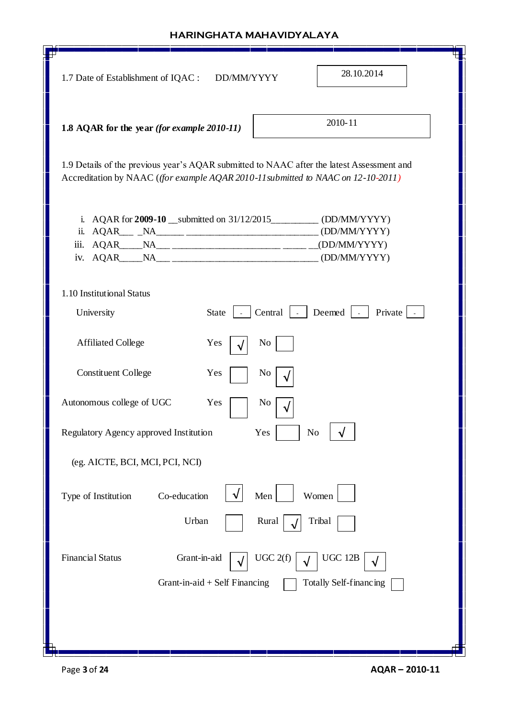| 28.10.2014<br>1.7 Date of Establishment of IQAC :<br>DD/MM/YYYY                                                                                                                                                                                                                                                                                                                                                                                                                                                                                                                                         |
|---------------------------------------------------------------------------------------------------------------------------------------------------------------------------------------------------------------------------------------------------------------------------------------------------------------------------------------------------------------------------------------------------------------------------------------------------------------------------------------------------------------------------------------------------------------------------------------------------------|
| 2010-11<br>1.8 AQAR for the year (for example 2010-11)                                                                                                                                                                                                                                                                                                                                                                                                                                                                                                                                                  |
| 1.9 Details of the previous year's AQAR submitted to NAAC after the latest Assessment and<br>Accreditation by NAAC ( <i>(for example AQAR 2010-11 submitted to NAAC on 12-10-2011</i> )                                                                                                                                                                                                                                                                                                                                                                                                                 |
| AQAR for 2009-10 __ submitted on 31/12/2015_____________ (DD/MM/YYYY)<br>$\mathbf{i}$ .<br>(DD/MM/YYYY)<br>ii.<br>AQAR_____NA___ ______________________ _____ ____(DD/MM/YYYY)<br>iii.<br>$AQAR$ $NA$ $_{\text{max}}$ $_{\text{max}}$ $_{\text{max}}$ $_{\text{max}}$ $_{\text{max}}$ $_{\text{max}}$ $_{\text{max}}$ $_{\text{max}}$ $_{\text{max}}$ $_{\text{max}}$ $_{\text{max}}$ $_{\text{max}}$ $_{\text{max}}$ $_{\text{max}}$ $_{\text{max}}$ $_{\text{max}}$ $_{\text{max}}$ $_{\text{max}}$ $_{\text{max}}$ $_{\text{max}}$ $_{\text{max}}$ $_{\text{max}}$ $_{\text{max}}$ $_{\text{$<br>iv. |
| 1.10 Institutional Status                                                                                                                                                                                                                                                                                                                                                                                                                                                                                                                                                                               |
| Central   Deemed<br>Private<br><b>State</b><br>University<br>$\sim$                                                                                                                                                                                                                                                                                                                                                                                                                                                                                                                                     |
| <b>Affiliated College</b><br>Yes<br>No                                                                                                                                                                                                                                                                                                                                                                                                                                                                                                                                                                  |
| <b>Constituent College</b><br>Yes<br>No                                                                                                                                                                                                                                                                                                                                                                                                                                                                                                                                                                 |
| Autonomous college of UGC<br>Yes<br>No                                                                                                                                                                                                                                                                                                                                                                                                                                                                                                                                                                  |
| Regulatory Agency approved Institution<br>No<br>Yes                                                                                                                                                                                                                                                                                                                                                                                                                                                                                                                                                     |
| (eg. AICTE, BCI, MCI, PCI, NCI)                                                                                                                                                                                                                                                                                                                                                                                                                                                                                                                                                                         |
| Co-education<br>Men<br>Type of Institution<br>Women                                                                                                                                                                                                                                                                                                                                                                                                                                                                                                                                                     |
| Urban<br>Rural<br>Tribal                                                                                                                                                                                                                                                                                                                                                                                                                                                                                                                                                                                |
| <b>Financial Status</b><br>Grant-in-aid<br>UGC 2(f)<br><b>UGC 12B</b><br>Grant-in-aid $+$ Self Financing<br>Totally Self-financing                                                                                                                                                                                                                                                                                                                                                                                                                                                                      |
|                                                                                                                                                                                                                                                                                                                                                                                                                                                                                                                                                                                                         |

 $\sqrt{ }$ 

h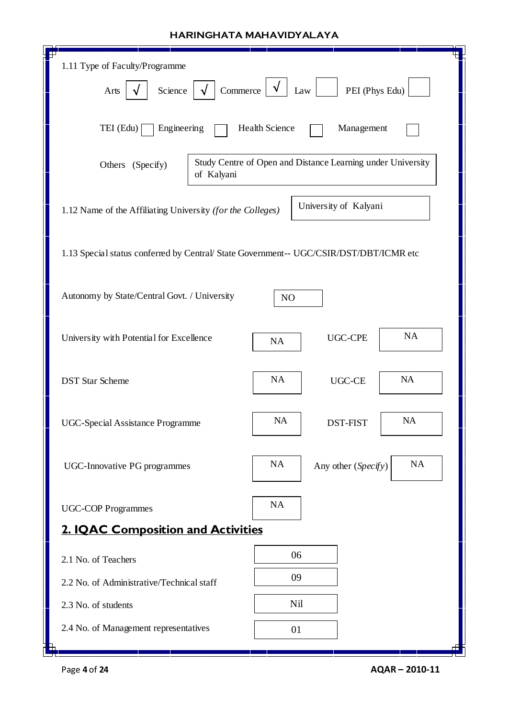| 1.11 Type of Faculty/Programme                                                         |                                                             |                       |           |  |  |  |  |
|----------------------------------------------------------------------------------------|-------------------------------------------------------------|-----------------------|-----------|--|--|--|--|
| Commerce<br>PEI (Phys Edu)<br>Science<br>Law<br>Arts                                   |                                                             |                       |           |  |  |  |  |
| TEI (Edu)<br>Engineering<br>Health Science<br>Management                               |                                                             |                       |           |  |  |  |  |
| Others (Specify)<br>of Kalyani                                                         | Study Centre of Open and Distance Learning under University |                       |           |  |  |  |  |
| 1.12 Name of the Affiliating University (for the Colleges)                             |                                                             | University of Kalyani |           |  |  |  |  |
| 1.13 Special status conferred by Central/ State Government-- UGC/CSIR/DST/DBT/ICMR etc |                                                             |                       |           |  |  |  |  |
| Autonomy by State/Central Govt. / University                                           | NO                                                          |                       |           |  |  |  |  |
| NA<br><b>UGC-CPE</b><br>University with Potential for Excellence<br>NA                 |                                                             |                       |           |  |  |  |  |
| <b>DST Star Scheme</b>                                                                 | NA                                                          | UGC-CE                | NA        |  |  |  |  |
| <b>UGC-Special Assistance Programme</b>                                                | <b>NA</b>                                                   | DST-FIST              | <b>NA</b> |  |  |  |  |
| <b>UGC-Innovative PG programmes</b>                                                    | <b>NA</b>                                                   | Any other (Specify)   | NA        |  |  |  |  |
| <b>UGC-COP Programmes</b>                                                              | NA                                                          |                       |           |  |  |  |  |
| <b>2. IQAC Composition and Activities</b>                                              |                                                             |                       |           |  |  |  |  |
| 2.1 No. of Teachers                                                                    | 06                                                          |                       |           |  |  |  |  |
| 2.2 No. of Administrative/Technical staff                                              | 09                                                          |                       |           |  |  |  |  |
| 2.3 No. of students                                                                    | Nil                                                         |                       |           |  |  |  |  |
| 2.4 No. of Management representatives                                                  | 01                                                          |                       |           |  |  |  |  |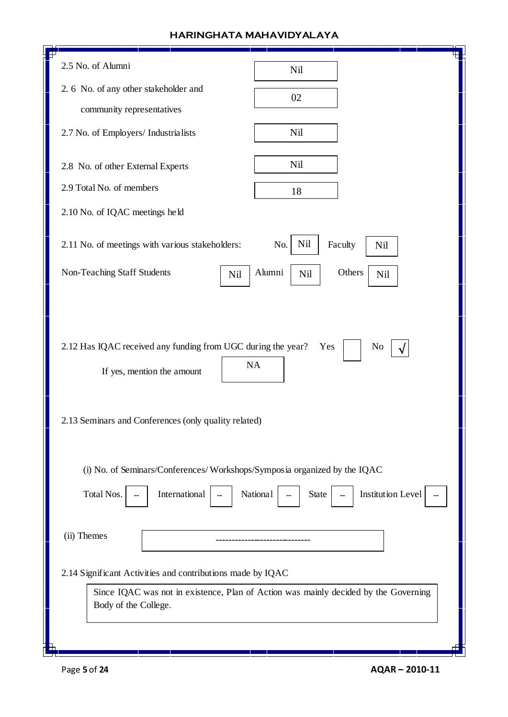| 2.5 No. of Alumni                                                        | Nil                                                                                 |
|--------------------------------------------------------------------------|-------------------------------------------------------------------------------------|
| 2. 6 No. of any other stakeholder and                                    | 02                                                                                  |
| community representatives                                                |                                                                                     |
| 2.7 No. of Employers/ Industrialists                                     | Nil                                                                                 |
| 2.8 No. of other External Experts                                        | Nil                                                                                 |
| 2.9 Total No. of members                                                 |                                                                                     |
|                                                                          | 18                                                                                  |
| 2.10 No. of IQAC meetings held                                           |                                                                                     |
| 2.11 No. of meetings with various stakeholders:                          | Nil<br>Faculty<br>No.<br>Nil                                                        |
| Non-Teaching Staff Students<br>Nil                                       | Alumni<br>Others<br>Nil<br>Nil                                                      |
|                                                                          |                                                                                     |
|                                                                          |                                                                                     |
| 2.12 Has IQAC received any funding from UGC during the year?             | No<br>Yes                                                                           |
| <b>NA</b><br>If yes, mention the amount                                  |                                                                                     |
|                                                                          |                                                                                     |
|                                                                          |                                                                                     |
| 2.13 Seminars and Conferences (only quality related)                     |                                                                                     |
|                                                                          |                                                                                     |
| (i) No. of Seminars/Conferences/Workshops/Symposia organized by the IQAC |                                                                                     |
| Total Nos.<br>International<br>National                                  | <b>Institution Level</b><br><b>State</b>                                            |
|                                                                          |                                                                                     |
| (ii) Themes                                                              |                                                                                     |
| 2.14 Significant Activities and contributions made by IQAC               |                                                                                     |
|                                                                          | Since IQAC was not in existence, Plan of Action was mainly decided by the Governing |
| Body of the College.                                                     |                                                                                     |
|                                                                          |                                                                                     |
|                                                                          |                                                                                     |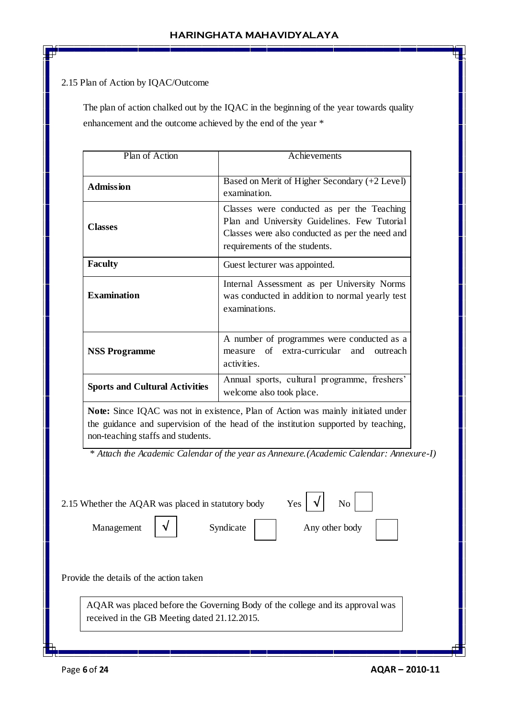## 2.15 Plan of Action by IQAC/Outcome

 The plan of action chalked out by the IQAC in the beginning of the year towards quality enhancement and the outcome achieved by the end of the year \*

| Plan of Action                        | $\overline{A}$ chievements                                                                                                                                                     |
|---------------------------------------|--------------------------------------------------------------------------------------------------------------------------------------------------------------------------------|
| <b>Admission</b>                      | Based on Merit of Higher Secondary (+2 Level)<br>examination.                                                                                                                  |
| <b>Classes</b>                        | Classes were conducted as per the Teaching<br>Plan and University Guidelines. Few Tutorial<br>Classes were also conducted as per the need and<br>requirements of the students. |
| <b>Faculty</b>                        | Guest lecturer was appointed.                                                                                                                                                  |
| <b>Examination</b>                    | Internal Assessment as per University Norms<br>was conducted in addition to normal yearly test<br>examinations.                                                                |
| <b>NSS Programme</b>                  | A number of programmes were conducted as a<br>measure of extra-curricular and<br>outreach<br>activities.                                                                       |
| <b>Sports and Cultural Activities</b> | Annual sports, cultural programme, freshers'<br>welcome also took place.                                                                                                       |

**Note:** Since IQAC was not in existence, Plan of Action was mainly initiated under the guidance and supervision of the head of the institution supported by teaching, non-teaching staffs and students.

 *\* Attach the Academic Calendar of the year as Annexure.(Academic Calendar: Annexure-I)*

| 2.15 Whether the AQAR was placed in statutory body |  |                                              | Yes                                                                           | N <sub>o</sub> |  |
|----------------------------------------------------|--|----------------------------------------------|-------------------------------------------------------------------------------|----------------|--|
| Management                                         |  | Syndicate                                    |                                                                               | Any other body |  |
|                                                    |  |                                              |                                                                               |                |  |
|                                                    |  |                                              |                                                                               |                |  |
|                                                    |  |                                              |                                                                               |                |  |
| Provide the details of the action taken            |  |                                              |                                                                               |                |  |
|                                                    |  |                                              | AQAR was placed before the Governing Body of the college and its approval was |                |  |
|                                                    |  | received in the GB Meeting dated 21.12.2015. |                                                                               |                |  |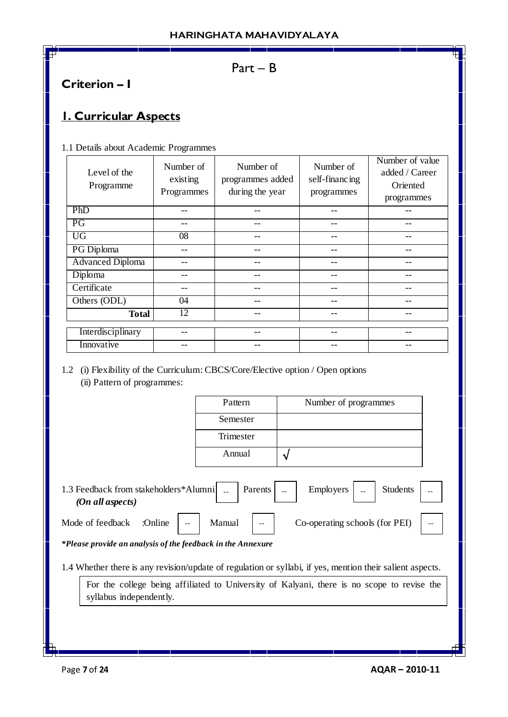## Part – B

# **Criterion – I**

# **1. Curricular Aspects**

1.1 Details about Academic Programmes

| Level of the<br>Programme | Number of<br>existing<br>Programmes | Number of<br>programmes added<br>during the year | Number of<br>self-financing<br>programmes | Number of value<br>added / Career<br>Oriented<br>programmes |
|---------------------------|-------------------------------------|--------------------------------------------------|-------------------------------------------|-------------------------------------------------------------|
| PhD                       |                                     | --                                               |                                           |                                                             |
| PG                        |                                     | --                                               | --                                        |                                                             |
| <b>UG</b>                 | $\overline{08}$                     | --                                               | --                                        |                                                             |
| PG Diploma                |                                     |                                                  | --                                        |                                                             |
| <b>Advanced Diploma</b>   |                                     |                                                  |                                           |                                                             |
| Diploma                   |                                     |                                                  |                                           |                                                             |
| Certificate               |                                     | --                                               | --                                        |                                                             |
| Others (ODL)              | 04                                  |                                                  |                                           |                                                             |
| <b>Total</b>              | 12                                  |                                                  |                                           |                                                             |
| Interdisciplinary         |                                     |                                                  |                                           |                                                             |
| Innovative                |                                     |                                                  |                                           |                                                             |

1.2 (i) Flexibility of the Curriculum: CBCS/Core/Elective option / Open options (ii) Pattern of programmes:

| Pattern   | Number of programmes |
|-----------|----------------------|
| Semester  |                      |
| Trimester |                      |
| Annual    |                      |

1.3 Feedback from stakeholders\*Alumni | Parents | Parents | Parents | Parents | Parents | Parents | Parents | Parents | Parents | Parents | Parents | Parents | Parents | Parents | Parents | Parents | Parents | Parents | Pa  *(On all aspects)* Employers

Mode of feedback :Online | -- | Manual | -- | Co-operating schools (for PEI) | --

*\*Please provide an analysis of the feedback in the Annexure*

1.4 Whether there is any revision/update of regulation or syllabi, if yes, mention their salient aspects.

For the college being affiliated to University of Kalyani, there is no scope to revise the syllabus independently.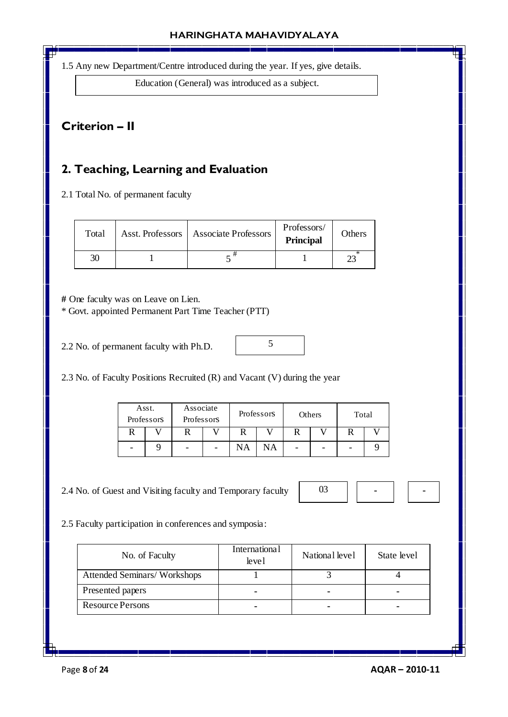1.5 Any new Department/Centre introduced during the year. If yes, give details.

Education (General) was introduced as a subject.

## **Criterion – II**

# **2. Teaching, Learning and Evaluation**

2.1 Total No. of permanent faculty

| Total | Asst. Professors   Associate Professors | Professors/<br><b>Principal</b> | Others |
|-------|-----------------------------------------|---------------------------------|--------|
| 30    |                                         |                                 |        |

**#** One faculty was on Leave on Lien.

\* Govt. appointed Permanent Part Time Teacher (PTT)

2.2 No. of permanent faculty with Ph.D.

2.3 No. of Faculty Positions Recruited (R) and Vacant (V) during the year

| Asst.<br>Professors | Associate<br>Professors | Professors |    | Others | Total |  |
|---------------------|-------------------------|------------|----|--------|-------|--|
|                     |                         |            |    |        |       |  |
|                     |                         | NA         | NΑ | -      |       |  |

5

2.4 No. of Guest and Visiting faculty and Temporary faculty



2.5 Faculty participation in conferences and symposia:

| No. of Faculty              | <b>International</b><br>level | National level | State level |
|-----------------------------|-------------------------------|----------------|-------------|
| Attended Seminars/Workshops |                               |                |             |
| Presented papers            |                               |                | -           |
| <b>Resource Persons</b>     |                               |                | -           |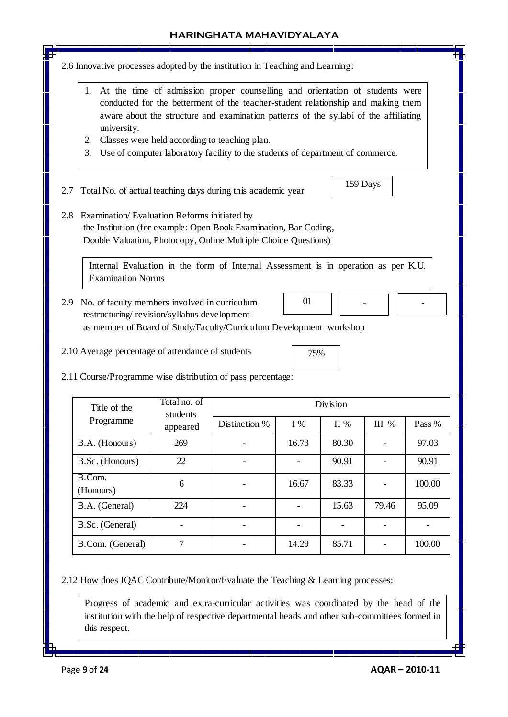- 2.6 Innovative processes adopted by the institution in Teaching and Learning:
	- 1. At the time of admission proper counselling and orientation of students were conducted for the betterment of the teacher-student relationship and making them aware about the structure and examination patterns of the syllabi of the affiliating university.
	- 2. Classes were held according to teaching plan.
	- 3. Use of computer laboratory facility to the students of department of commerce.
- 2.7 Total No. of actual teaching days during this academic year
- 2.8 Examination/ Evaluation Reforms initiated by the Institution (for example: Open Book Examination, Bar Coding, Double Valuation, Photocopy, Online Multiple Choice Questions)

Internal Evaluation in the form of Internal Assessment is in operation as per K.U. Examination Norms

- 2.9 No. of faculty members involved in curriculum restructuring/ revision/syllabus development as member of Board of Study/Faculty/Curriculum Development workshop 01 **-**
- 2.10 Average percentage of attendance of students

159 Days

**-**

2.11 Course/Programme wise distribution of pass percentage:

| Title of the        | Total no. of<br>students | Division      |       |         |         |        |  |  |
|---------------------|--------------------------|---------------|-------|---------|---------|--------|--|--|
| Programme           | appeared                 | Distinction % | $I\%$ | $\Pi\%$ | $III$ % | Pass % |  |  |
| B.A. (Honours)      | 269                      |               | 16.73 | 80.30   |         | 97.03  |  |  |
| B.Sc. (Honours)     | 22                       |               |       | 90.91   |         | 90.91  |  |  |
| B.Com.<br>(Honours) | 6                        |               | 16.67 | 83.33   |         | 100.00 |  |  |
| B.A. (General)      | 224                      |               |       | 15.63   | 79.46   | 95.09  |  |  |
| B.Sc. (General)     |                          |               |       |         |         |        |  |  |
| B.Com. (General)    | ⇁                        |               | 14.29 | 85.71   |         | 100.00 |  |  |

2.12 How does IQAC Contribute/Monitor/Evaluate the Teaching & Learning processes:

Progress of academic and extra-curricular activities was coordinated by the head of the institution with the help of respective departmental heads and other sub-committees formed in this respect.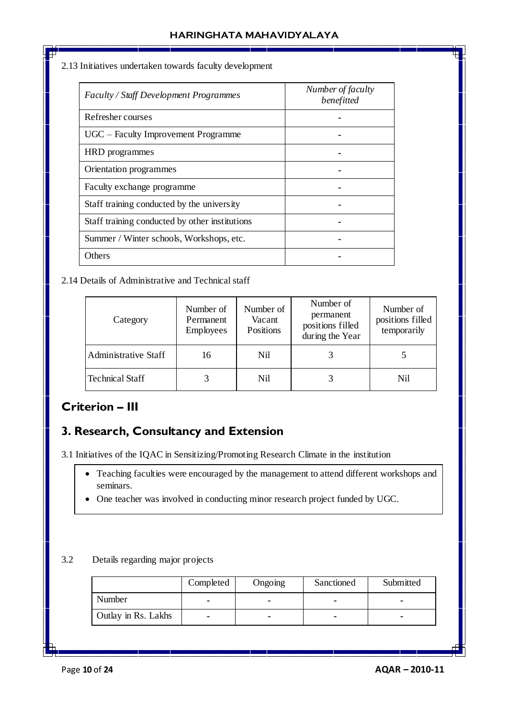#### 2.13 Initiatives undertaken towards faculty development

| Faculty / Staff Development Programmes         | Number of faculty<br>benefitted |
|------------------------------------------------|---------------------------------|
| Refresher courses                              |                                 |
| UGC – Faculty Improvement Programme            |                                 |
| HRD programmes                                 |                                 |
| Orientation programmes                         |                                 |
| Faculty exchange programme                     |                                 |
| Staff training conducted by the university     |                                 |
| Staff training conducted by other institutions |                                 |
| Summer / Winter schools, Workshops, etc.       |                                 |
| Others                                         |                                 |

## 2.14 Details of Administrative and Technical staff

| Category             | Number of<br>Permanent<br>Employees | Number of<br>Vacant<br>Positions | Number of<br>permanent<br>positions filled<br>during the Year | Number of<br>positions filled<br>temporarily |
|----------------------|-------------------------------------|----------------------------------|---------------------------------------------------------------|----------------------------------------------|
| Administrative Staff | 16                                  | Nil                              |                                                               |                                              |
| Technical Staff      |                                     | Nil                              |                                                               | Nil                                          |

# **Criterion – III**

# **3. Research, Consultancy and Extension**

3.1 Initiatives of the IQAC in Sensitizing/Promoting Research Climate in the institution

- Teaching faculties were encouraged by the management to attend different workshops and seminars.
- One teacher was involved in conducting minor research project funded by UGC.

### 3.2 Details regarding major projects

|                     | Completed | Ongoing | Sanctioned | Submitted |
|---------------------|-----------|---------|------------|-----------|
| Number              |           |         |            |           |
| Outlay in Rs. Lakhs | ۰         |         |            |           |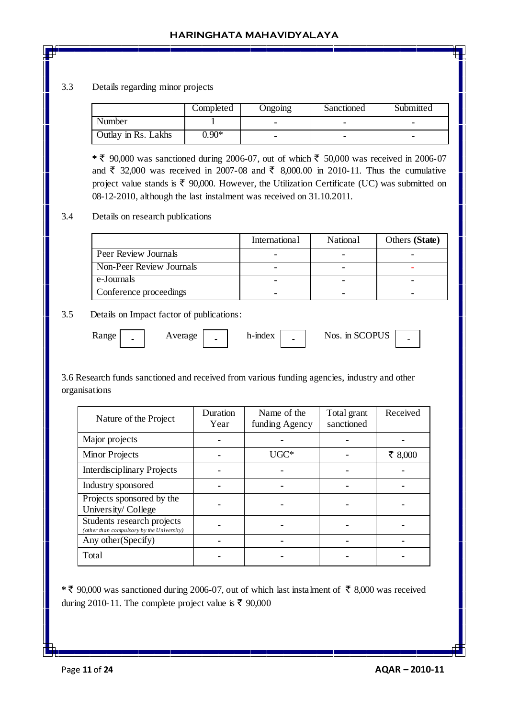#### 3.3 Details regarding minor projects

|                     | Completed | <b>Ongoing</b> | Sanctioned | Submitted |
|---------------------|-----------|----------------|------------|-----------|
| Number              |           |                |            |           |
| Outlay in Rs. Lakhs | $0.90*$   |                |            |           |

 $*$   $\bar{\epsilon}$  90,000 was sanctioned during 2006-07, out of which  $\bar{\epsilon}$  50,000 was received in 2006-07 and  $\bar{\xi}$  32,000 was received in 2007-08 and  $\bar{\xi}$  8,000.00 in 2010-11. Thus the cumulative project value stands is  $\bar{\tau}$  90,000. However, the Utilization Certificate (UC) was submitted on 08-12-2010, although the last instalment was received on 31.10.2011.

#### 3.4 Details on research publications

|                             | International | <b>National</b> | Others (State) |
|-----------------------------|---------------|-----------------|----------------|
| <b>Peer Review Journals</b> |               |                 |                |
| Non-Peer Review Journals    |               |                 |                |
| e-Journals                  |               |                 | -              |
| Conference proceedings      |               |                 |                |

#### 3.5 Details on Impact factor of publications:

|  | <b>Range</b> | $\overline{\phantom{0}}$ | verage | - | h-mdex | $\overline{\phantom{0}}$ | Nos. in SCOPUS<br>U5 | - |
|--|--------------|--------------------------|--------|---|--------|--------------------------|----------------------|---|
|--|--------------|--------------------------|--------|---|--------|--------------------------|----------------------|---|

3.6 Research funds sanctioned and received from various funding agencies, industry and other organisations

| Nature of the Project                                                   | Duration<br>Year | Name of the<br>funding Agency | Total grant<br>sanctioned | Received |
|-------------------------------------------------------------------------|------------------|-------------------------------|---------------------------|----------|
| Major projects                                                          |                  |                               |                           |          |
| <b>Minor Projects</b>                                                   |                  | $\rm UGC^*$                   |                           | ₹ 8,000  |
| <b>Interdisciplinary Projects</b>                                       |                  |                               |                           |          |
| Industry sponsored                                                      |                  |                               |                           |          |
| Projects sponsored by the<br>University/College                         |                  |                               |                           |          |
| Students research projects<br>(other than compulsory by the University) |                  |                               |                           |          |
| Any other (Specify)                                                     |                  |                               |                           |          |
| Total                                                                   |                  |                               |                           |          |

\* ₹ 90,000 was sanctioned during 2006-07, out of which last instalment of ₹ 8,000 was received during 2010-11. The complete project value is  $\bar{\tau}$  90,000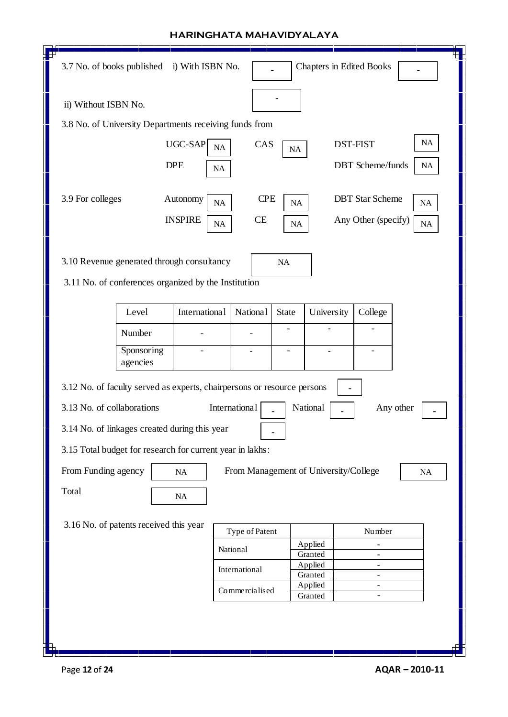| F٣<br>3.7 No. of books published<br>i) With ISBN No.                    |                                       |                               | <b>Chapters in Edited Books</b>                      |                 |
|-------------------------------------------------------------------------|---------------------------------------|-------------------------------|------------------------------------------------------|-----------------|
| ii) Without ISBN No.                                                    |                                       |                               |                                                      |                 |
| 3.8 No. of University Departments receiving funds from                  |                                       |                               |                                                      |                 |
| UGC-SAP                                                                 | CAS<br><b>NA</b>                      | $\rm NA$                      | <b>DST-FIST</b>                                      | <b>NA</b>       |
| <b>DPE</b>                                                              | NA                                    |                               | <b>DBT</b> Scheme/funds                              | <b>NA</b>       |
| 3.9 For colleges<br>Autonomy<br><b>INSPIRE</b>                          | <b>CPE</b><br>NA<br>CE<br>NA          | NA<br><b>NA</b>               | <b>DBT</b> Star Scheme<br>Any Other (specify)        | NA<br><b>NA</b> |
| 3.10 Revenue generated through consultancy                              | NA                                    |                               |                                                      |                 |
| 3.11 No. of conferences organized by the Institution                    |                                       |                               |                                                      |                 |
| International<br>Level                                                  | <b>National</b><br>State              | University                    | College                                              |                 |
| Number                                                                  |                                       |                               |                                                      |                 |
| Sponsoring<br>agencies                                                  |                                       |                               |                                                      |                 |
| 3.12 No. of faculty served as experts, chairpersons or resource persons |                                       |                               |                                                      |                 |
| 3.13 No. of collaborations                                              | International                         | National                      |                                                      | Any other       |
| 3.14 No. of linkages created during this year                           |                                       |                               |                                                      |                 |
| 3.15 Total budget for research for current year in lakhs:               |                                       |                               |                                                      |                 |
| From Funding agency<br>NA                                               | From Management of University/College |                               |                                                      | NA              |
| Total                                                                   |                                       |                               |                                                      |                 |
| NA                                                                      |                                       |                               |                                                      |                 |
| 3.16 No. of patents received this year                                  | Type of Patent                        |                               | Number                                               |                 |
|                                                                         | National                              | Applied                       | ٠                                                    |                 |
|                                                                         | International                         | Granted<br>Applied            | ٠<br>۰                                               |                 |
|                                                                         | Commercialised                        | Granted<br>Applied<br>Granted | $\overline{\phantom{a}}$<br>$\overline{\phantom{a}}$ |                 |
|                                                                         |                                       |                               |                                                      |                 |
|                                                                         |                                       |                               |                                                      |                 |
|                                                                         |                                       |                               |                                                      |                 |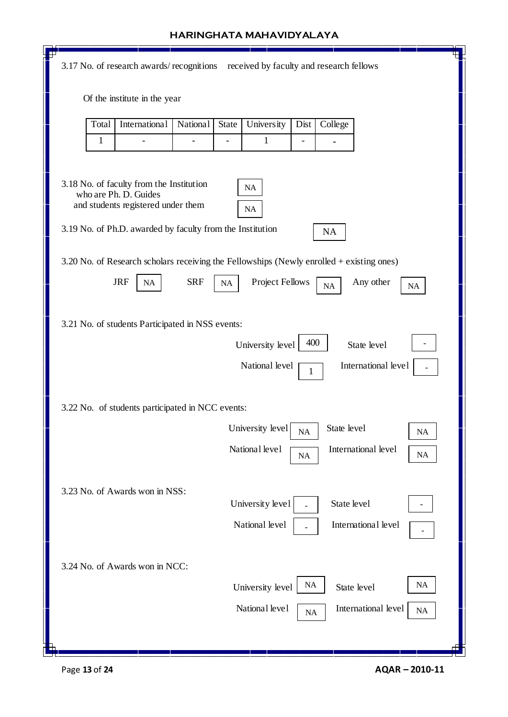| received by faculty and research fellows<br>3.17 No. of research awards/recognitions         |  |
|----------------------------------------------------------------------------------------------|--|
|                                                                                              |  |
| Of the institute in the year                                                                 |  |
| Total<br>International<br>State<br><b>University</b><br>College<br><b>National</b><br>Dist   |  |
| 1<br>1                                                                                       |  |
|                                                                                              |  |
| 3.18 No. of faculty from the Institution<br>NA<br>who are Ph. D. Guides                      |  |
| and students registered under them<br>NA                                                     |  |
| 3.19 No. of Ph.D. awarded by faculty from the Institution<br>NA                              |  |
| 3.20 No. of Research scholars receiving the Fellowships (Newly enrolled + existing ones)     |  |
| <b>JRF</b><br><b>SRF</b><br>Project Fellows<br>Any other<br>$\rm NA$<br>NA<br>NA<br>$\rm NA$ |  |
| 3.21 No. of students Participated in NSS events:                                             |  |
| 400<br>University level<br>State level                                                       |  |
| International level<br>National level<br>1                                                   |  |
|                                                                                              |  |
| 3.22 No. of students participated in NCC events:                                             |  |
| University level<br>State level<br><b>NA</b><br><b>NA</b>                                    |  |
| National level<br>International level<br>NA<br><b>NA</b>                                     |  |
| 3.23 No. of Awards won in NSS:                                                               |  |
| University level<br>State level                                                              |  |
| National level<br>International level                                                        |  |
|                                                                                              |  |
| 3.24 No. of Awards won in NCC:<br>NA<br>NA                                                   |  |
| University level<br>State level                                                              |  |
| National level<br>International level<br>NA<br>NA                                            |  |
| Ō                                                                                            |  |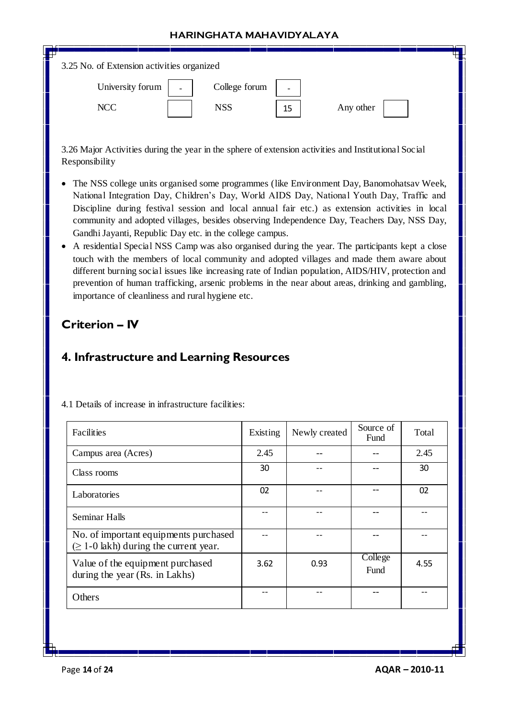| 3.25 No. of Extension activities organized   |               |                          |           |  |
|----------------------------------------------|---------------|--------------------------|-----------|--|
| University forum<br>$\overline{\phantom{0}}$ | College forum | $\overline{\phantom{0}}$ |           |  |
| <b>NCC</b>                                   | <b>NSS</b>    | 15                       | Any other |  |

3.26 Major Activities during the year in the sphere of extension activities and Institutional Social Responsibility

- The NSS college units organised some programmes (like Environment Day, Banomohatsav Week, National Integration Day, Children's Day, World AIDS Day, National Youth Day, Traffic and Discipline during festival session and local annual fair etc.) as extension activities in local community and adopted villages, besides observing Independence Day, Teachers Day, NSS Day, Gandhi Jayanti, Republic Day etc. in the college campus.
- A residential Special NSS Camp was also organised during the year. The participants kept a close touch with the members of local community and adopted villages and made them aware about different burning social issues like increasing rate of Indian population, AIDS/HIV, protection and prevention of human trafficking, arsenic problems in the near about areas, drinking and gambling, importance of cleanliness and rural hygiene etc.

## **Criterion – IV**

## **4. Infrastructure and Learning Resources**

| Facilities                                                                           | Existing | Newly created | Source of<br>Fund | Total |
|--------------------------------------------------------------------------------------|----------|---------------|-------------------|-------|
| Campus area (Acres)                                                                  | 2.45     |               |                   | 2.45  |
| Class rooms                                                                          | 30       |               |                   | 30    |
| Laboratories                                                                         | 02       |               |                   | 02    |
| <b>Seminar Halls</b>                                                                 |          |               |                   |       |
| No. of important equipments purchased<br>$(\geq 1$ -0 lakh) during the current year. |          |               |                   |       |
| Value of the equipment purchased<br>during the year (Rs. in Lakhs)                   | 3.62     | 0.93          | College<br>Fund   | 4.55  |
| Others                                                                               | --       |               |                   |       |

4.1 Details of increase in infrastructure facilities: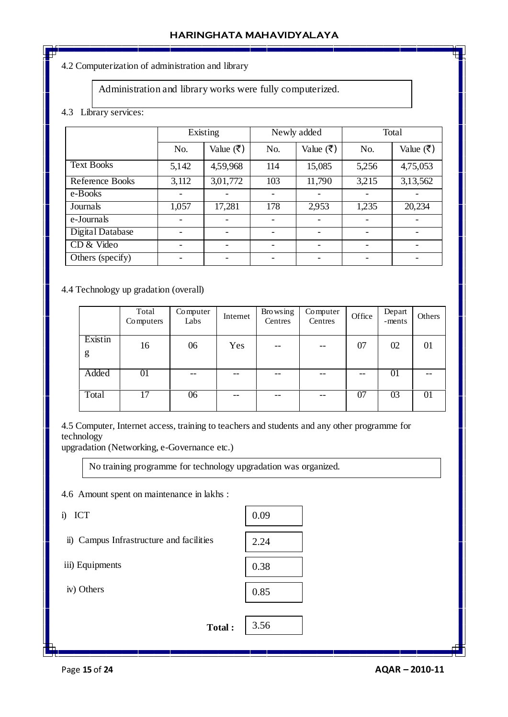#### 4.2 Computerization of administration and library

#### Administration and library works were fully computerized.

#### 4.3 Library services:

|                   | Existing |                           |     | Newly added |       | Total                     |  |
|-------------------|----------|---------------------------|-----|-------------|-------|---------------------------|--|
|                   | No.      | Value $(\overline{\tau})$ | No. | Value (₹)   | No.   | Value $(\overline{\tau})$ |  |
| <b>Text Books</b> | 5,142    | 4,59,968                  | 114 | 15,085      | 5,256 | 4,75,053                  |  |
| Reference Books   | 3,112    | 3,01,772                  | 103 | 11,790      | 3,215 | 3,13,562                  |  |
| e-Books           |          |                           |     |             |       |                           |  |
| Journals          | 1,057    | 17,281                    | 178 | 2,953       | 1,235 | 20,234                    |  |
| e-Journals        |          |                           |     |             |       |                           |  |
| Digital Database  |          |                           |     |             |       |                           |  |
| CD & Video        |          |                           |     |             |       |                           |  |
| Others (specify)  |          |                           |     |             |       |                           |  |
|                   |          |                           |     |             |       |                           |  |

#### 4.4 Technology up gradation (overall)

|              | Total<br>Computers | Computer<br>Labs | Internet | <b>Browsing</b><br>Centres | Computer<br>Centres | Office | Depart<br>-ments | Others |
|--------------|--------------------|------------------|----------|----------------------------|---------------------|--------|------------------|--------|
| Existin<br>g | 16                 | 06               | Yes      | $- -$                      | $- -$               | 07     | 02               | 01     |
| Added        | 01                 | --               | --       | --                         | --                  | --     | 01               |        |
| Total        | 17                 | 06               | --       | --                         | --                  | 07     | 03               | 01     |

4.5 Computer, Internet access, training to teachers and students and any other programme for technology

upgradation (Networking, e-Governance etc.)

No training programme for technology upgradation was organized.

4.6 Amount spent on maintenance in lakhs :

i) ICT

ii) Campus Infrastructure and facilities

iii) Equipments

iv) Others

| lakhs: |      |
|--------|------|
|        | 0.09 |
| es     | 2.24 |
|        | 0.38 |
|        | 0.85 |
|        |      |
| Total: | 3.56 |
|        |      |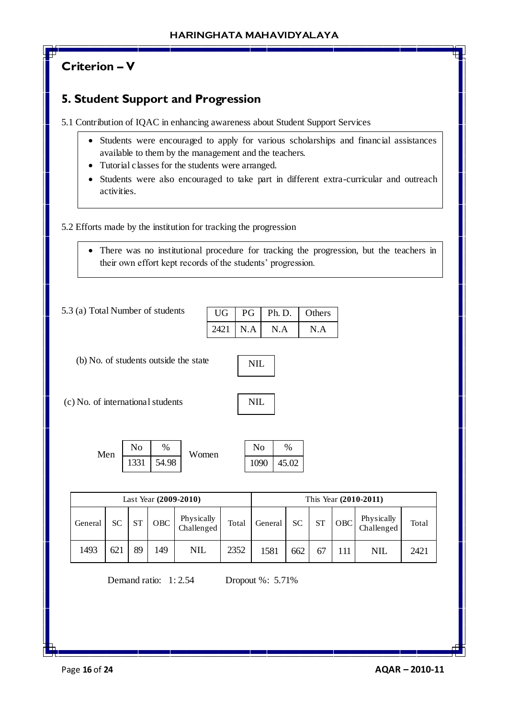# **Criterion – V**

# **5. Student Support and Progression**

5.1 Contribution of IQAC in enhancing awareness about Student Support Services

- Students were encouraged to apply for various scholarships and financial assistances available to them by the management and the teachers.
- Tutorial classes for the students were arranged.
- Students were also encouraged to take part in different extra-curricular and outreach activities.

## 5.2 Efforts made by the institution for tracking the progression

 There was no institutional procedure for tracking the progression, but the teachers in their own effort kept records of the students' progression.

5.3 (a) Total Number of students

| UG   | PG  | Ph. D. | <b>Others</b> |
|------|-----|--------|---------------|
| 2421 | N.A | N.A    | N A           |

(b) No. of students outside the state

(c) No. of international students

NIL

02

| Men | $\rm No$ | %     | Women | No   | %    |
|-----|----------|-------|-------|------|------|
|     | 1331     | 54.98 |       | 1090 | 45.0 |

| Last Year (2009-2010) |     |           |            |                          |       |         |           | This Year (2010-2011) |            |                          |       |
|-----------------------|-----|-----------|------------|--------------------------|-------|---------|-----------|-----------------------|------------|--------------------------|-------|
| General               | SC  | <b>ST</b> | <b>OBC</b> | Physically<br>Challenged | Total | General | <b>SC</b> | <b>ST</b>             | <b>OBC</b> | Physically<br>Challenged | Total |
| 1493                  | 621 | 89        | 49         | NIL                      | 2352  | 1581    | 662       |                       | 111        | NIL                      | 2421  |

Demand ratio: 1: 2.54 Dropout %: 5.71%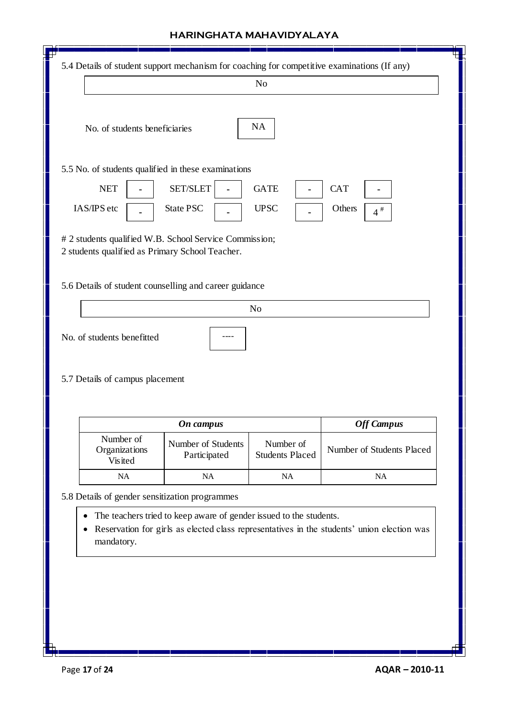|                                                                                                           |                                    | N <sub>o</sub>                      |                                     |
|-----------------------------------------------------------------------------------------------------------|------------------------------------|-------------------------------------|-------------------------------------|
| No. of students beneficiaries                                                                             |                                    | <b>NA</b>                           |                                     |
| 5.5 No. of students qualified in these examinations                                                       |                                    |                                     |                                     |
| <b>NET</b><br>IAS/IPS etc                                                                                 | SET/SLET<br><b>State PSC</b>       | <b>GATE</b><br><b>UPSC</b>          | <b>CAT</b><br>Others<br>$4$ $^{\#}$ |
| # 2 students qualified W.B. School Service Commission;<br>2 students qualified as Primary School Teacher. |                                    |                                     |                                     |
| 5.6 Details of student counselling and career guidance                                                    |                                    |                                     |                                     |
|                                                                                                           |                                    | N <sub>o</sub>                      |                                     |
|                                                                                                           |                                    |                                     |                                     |
| No. of students benefitted<br>5.7 Details of campus placement                                             |                                    |                                     |                                     |
|                                                                                                           | On campus                          |                                     | <b>Off Campus</b>                   |
| Number of<br>Organizations<br>Visited                                                                     | Number of Students<br>Participated | Number of<br><b>Students Placed</b> | Number of Students Placed           |
| NA                                                                                                        | NA                                 | NA                                  | NA                                  |
| 5.8 Details of gender sensitization programmes                                                            |                                    |                                     |                                     |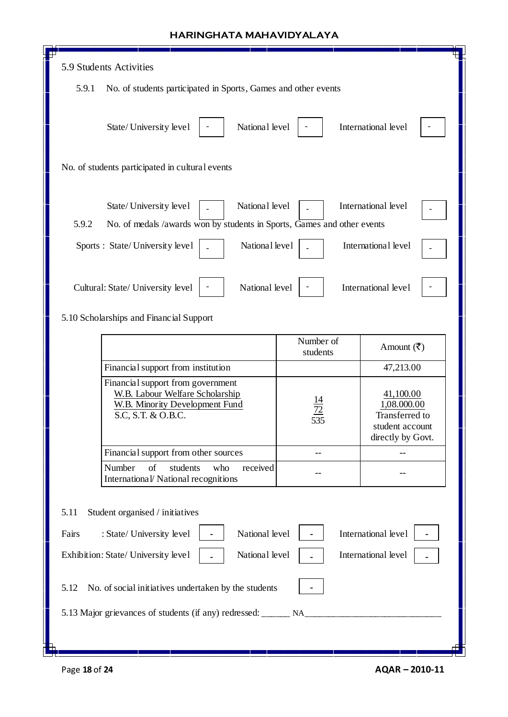| 5.9 Students Activities                                                                                                                    |                       |                                                                                    |  |  |
|--------------------------------------------------------------------------------------------------------------------------------------------|-----------------------|------------------------------------------------------------------------------------|--|--|
| 5.9.1<br>No. of students participated in Sports, Games and other events                                                                    |                       |                                                                                    |  |  |
| National level<br>State/University level                                                                                                   |                       | International level                                                                |  |  |
| No. of students participated in cultural events                                                                                            |                       |                                                                                    |  |  |
| National level<br>State/University level<br>5.9.2<br>No. of medals /awards won by students in Sports, Games and other events               |                       | International level                                                                |  |  |
|                                                                                                                                            |                       |                                                                                    |  |  |
| National level<br>Sports : State/University level                                                                                          |                       | International level                                                                |  |  |
| National level<br>Cultural: State/ University level<br>5.10 Scholarships and Financial Support                                             |                       | International level                                                                |  |  |
|                                                                                                                                            | Number of<br>students | Amount $(\overline{\mathbf{z}})$                                                   |  |  |
| Financial support from institution                                                                                                         |                       | 47,213.00                                                                          |  |  |
| Financial support from government<br><b>W.B. Labour Welfare Scholarship</b><br><b>W.B. Minority Development Fund</b><br>S.C, S.T. & O.B.C. | 535                   | 41,100.00<br>1,08.000.00<br>Transferred to<br>student account<br>directly by Govt. |  |  |
| Financial support from other sources                                                                                                       |                       |                                                                                    |  |  |
| Number<br>of<br>students<br>who<br>received<br>International/ National recognitions                                                        |                       |                                                                                    |  |  |
| 5.11<br>Student organised / initiatives                                                                                                    |                       |                                                                                    |  |  |
| National level<br>Fairs<br>: State/ University level                                                                                       |                       | International level                                                                |  |  |
| National level<br>Exhibition: State/ University level                                                                                      |                       | International level                                                                |  |  |
| 5.12<br>No. of social initiatives undertaken by the students                                                                               |                       |                                                                                    |  |  |
|                                                                                                                                            |                       |                                                                                    |  |  |
| h                                                                                                                                          |                       |                                                                                    |  |  |

Г

h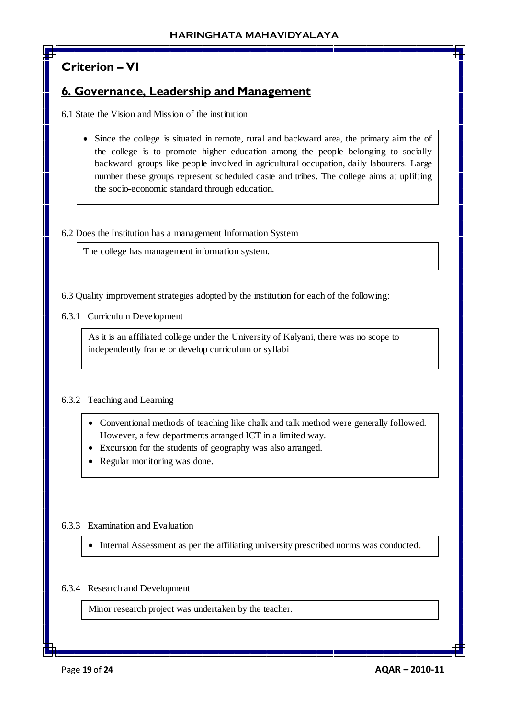# **Criterion – VI**

## **6. Governance, Leadership and Management**

6.1 State the Vision and Mission of the institution

• Since the college is situated in remote, rural and backward area, the primary aim the of the college is to promote higher education among the people belonging to socially backward groups like people involved in agricultural occupation, daily labourers. Large number these groups represent scheduled caste and tribes. The college aims at uplifting the socio-economic standard through education.

6.2 Does the Institution has a management Information System

The college has management information system.

6.3 Quality improvement strategies adopted by the institution for each of the following:

6.3.1 Curriculum Development

As it is an affiliated college under the University of Kalyani, there was no scope to independently frame or develop curriculum or syllabi

### 6.3.2 Teaching and Learning

- Conventional methods of teaching like chalk and talk method were generally followed. However, a few departments arranged ICT in a limited way.
- Excursion for the students of geography was also arranged.
- Regular monitoring was done.

### 6.3.3 Examination and Evaluation

Internal Assessment as per the affiliating university prescribed norms was conducted.

### 6.3.4 Research and Development

Minor research project was undertaken by the teacher.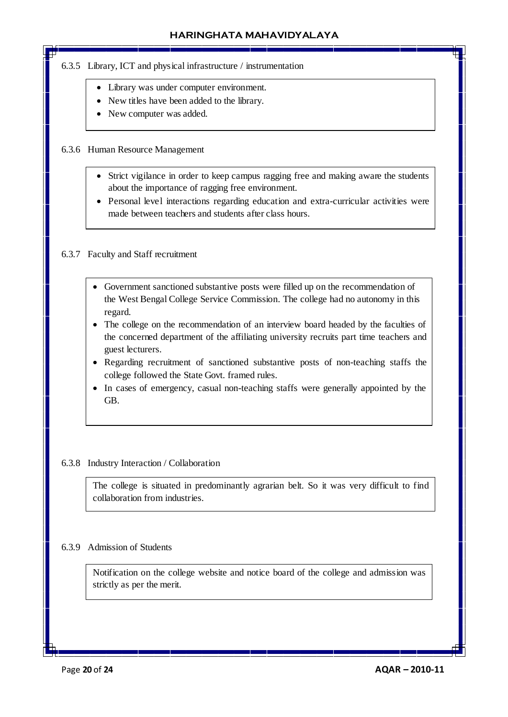#### 6.3.5 Library, ICT and physical infrastructure / instrumentation

- Library was under computer environment.
- New titles have been added to the library.
- New computer was added.

#### 6.3.6 Human Resource Management

- Strict vigilance in order to keep campus ragging free and making aware the students about the importance of ragging free environment.
- Personal level interactions regarding education and extra-curricular activities were made between teachers and students after class hours.

#### 6.3.7 Faculty and Staff recruitment

- Government sanctioned substantive posts were filled up on the recommendation of the West Bengal College Service Commission. The college had no autonomy in this regard.
- The college on the recommendation of an interview board headed by the faculties of the concerned department of the affiliating university recruits part time teachers and guest lecturers.
- Regarding recruitment of sanctioned substantive posts of non-teaching staffs the college followed the State Govt. framed rules.
- In cases of emergency, casual non-teaching staffs were generally appointed by the GB.

#### 6.3.8 Industry Interaction / Collaboration

The college is situated in predominantly agrarian belt. So it was very difficult to find collaboration from industries.

#### 6.3.9 Admission of Students

Notification on the college website and notice board of the college and admission was strictly as per the merit.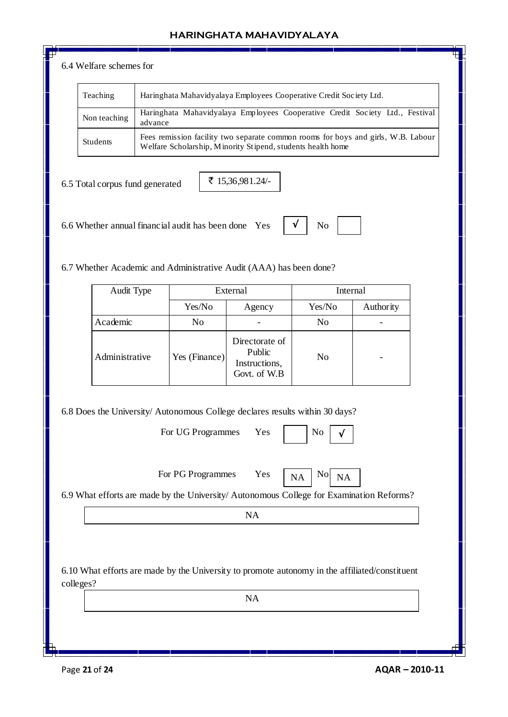#### 6.4 Welfare schemes for

| Teaching        | Haringhata Mahavidyalaya Employees Cooperative Credit Society Ltd.                                                                               |
|-----------------|--------------------------------------------------------------------------------------------------------------------------------------------------|
| Non teaching    | Haringhata Mahavidyalaya Employees Cooperative Credit Society Ltd., Festival<br>advance                                                          |
| <b>Students</b> | Fees remission facility two separate common rooms for boys and girls, W.B. Labour<br>Welfare Scholarship, Minority Stipend, students health home |

6.5 Total corpus fund generated

₹ 15,36,981.24/-

6.6 Whether annual financial audit has been done Yes

| ٠ |  |
|---|--|
|---|--|

√

6.7 Whether Academic and Administrative Audit (AAA) has been done?

| Audit Type     | External      |                                                           | Internal |           |
|----------------|---------------|-----------------------------------------------------------|----------|-----------|
|                | Yes/No        | Agency                                                    | Yes/No   | Authority |
| Academic       | No            |                                                           | No       |           |
| Administrative | Yes (Finance) | Directorate of<br>Public<br>Instructions,<br>Govt. of W.B | No       |           |

6.8 Does the University/ Autonomous College declares results within 30 days?

For UG Programmes Yes | N

For PG Programmes Yes  $\begin{array}{|c|c|c|c|} \hline N & \hline N \end{array}$ 



6.9 What efforts are made by the University/ Autonomous College for Examination Reforms?

NA

6.10 What efforts are made by the University to promote autonomy in the affiliated/constituent colleges?

NA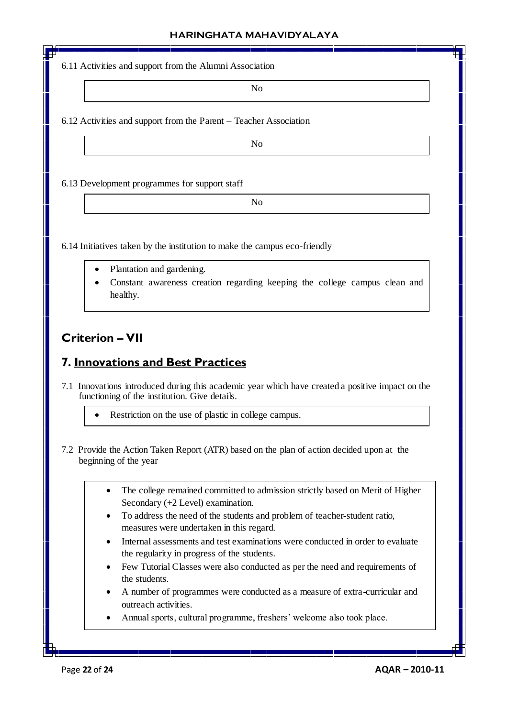6.11 Activities and support from the Alumni Association

No

6.12 Activities and support from the Parent – Teacher Association

No

6.13 Development programmes for support staff

No

6.14 Initiatives taken by the institution to make the campus eco-friendly

- Plantation and gardening.
- Constant awareness creation regarding keeping the college campus clean and healthy.

## **Criterion – VII**

## **7. Innovations and Best Practices**

7.1 Innovations introduced during this academic year which have created a positive impact on the functioning of the institution. Give details.

Restriction on the use of plastic in college campus.

- 7.2 Provide the Action Taken Report (ATR) based on the plan of action decided upon at the beginning of the year
	- The college remained committed to admission strictly based on Merit of Higher Secondary (+2 Level) examination.
	- To address the need of the students and problem of teacher-student ratio, measures were undertaken in this regard.
	- Internal assessments and test examinations were conducted in order to evaluate the regularity in progress of the students.
	- Few Tutorial Classes were also conducted as per the need and requirements of the students.
	- A number of programmes were conducted as a measure of extra-curricular and outreach activities.
	- Annual sports, cultural programme, freshers' welcome also took place.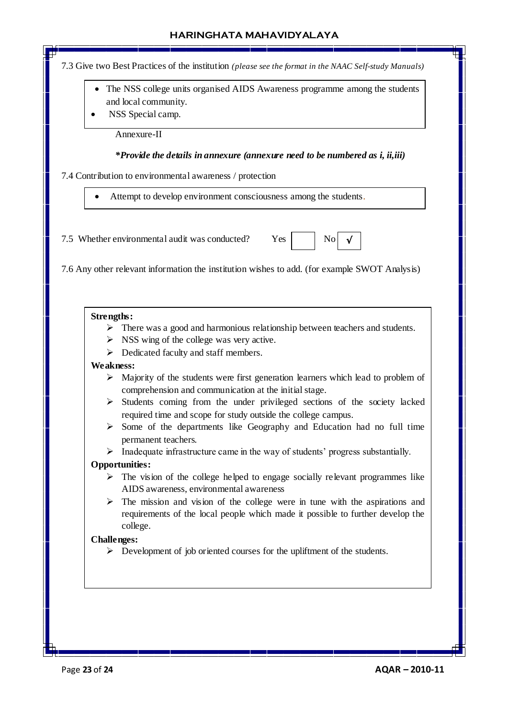7.3 Give two Best Practices of the institution *(please see the format in the NAAC Self-study Manuals)*

- The NSS college units organised AIDS Awareness programme among the students and local community.
- NSS Special camp.

Annexure-II

#### *\*Provide the details in annexure (annexure need to be numbered as i, ii,iii)*

7.4 Contribution to environmental awareness / protection

Attempt to develop environment consciousness among the students.

7.5 Whether environmental audit was conducted?  $Yes$  No



7.6 Any other relevant information the institution wishes to add. (for example SWOT Analysis)

#### **Strengths:**

- $\triangleright$  There was a good and harmonious relationship between teachers and students.
- $\triangleright$  NSS wing of the college was very active.
- $\triangleright$  Dedicated faculty and staff members.

#### **Weakness:**

- $\triangleright$  Majority of the students were first generation learners which lead to problem of comprehension and communication at the initial stage.
- $\triangleright$  Students coming from the under privileged sections of the society lacked required time and scope for study outside the college campus.
- $\triangleright$  Some of the departments like Geography and Education had no full time permanent teachers.
- $\triangleright$  Inadequate infrastructure came in the way of students' progress substantially.

#### **Opportunities:**

- $\triangleright$  The vision of the college helped to engage socially relevant programmes like AIDS awareness, environmental awareness
- $\triangleright$  The mission and vision of the college were in tune with the aspirations and requirements of the local people which made it possible to further develop the college.

#### **Challenges:**

 $\triangleright$  Development of job oriented courses for the upliftment of the students.